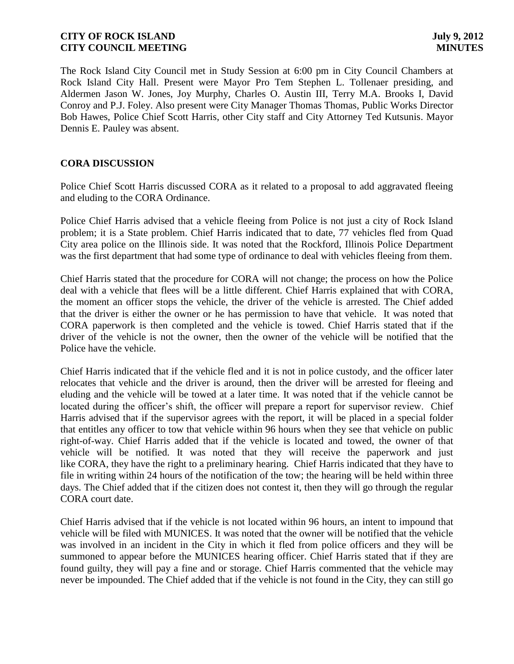The Rock Island City Council met in Study Session at 6:00 pm in City Council Chambers at Rock Island City Hall. Present were Mayor Pro Tem Stephen L. Tollenaer presiding, and Aldermen Jason W. Jones, Joy Murphy, Charles O. Austin III, Terry M.A. Brooks I, David Conroy and P.J. Foley. Also present were City Manager Thomas Thomas, Public Works Director Bob Hawes, Police Chief Scott Harris, other City staff and City Attorney Ted Kutsunis. Mayor Dennis E. Pauley was absent.

# **CORA DISCUSSION**

Police Chief Scott Harris discussed CORA as it related to a proposal to add aggravated fleeing and eluding to the CORA Ordinance.

Police Chief Harris advised that a vehicle fleeing from Police is not just a city of Rock Island problem; it is a State problem. Chief Harris indicated that to date, 77 vehicles fled from Quad City area police on the Illinois side. It was noted that the Rockford, Illinois Police Department was the first department that had some type of ordinance to deal with vehicles fleeing from them.

Chief Harris stated that the procedure for CORA will not change; the process on how the Police deal with a vehicle that flees will be a little different. Chief Harris explained that with CORA, the moment an officer stops the vehicle, the driver of the vehicle is arrested. The Chief added that the driver is either the owner or he has permission to have that vehicle. It was noted that CORA paperwork is then completed and the vehicle is towed. Chief Harris stated that if the driver of the vehicle is not the owner, then the owner of the vehicle will be notified that the Police have the vehicle.

Chief Harris indicated that if the vehicle fled and it is not in police custody, and the officer later relocates that vehicle and the driver is around, then the driver will be arrested for fleeing and eluding and the vehicle will be towed at a later time. It was noted that if the vehicle cannot be located during the officer's shift, the officer will prepare a report for supervisor review. Chief Harris advised that if the supervisor agrees with the report, it will be placed in a special folder that entitles any officer to tow that vehicle within 96 hours when they see that vehicle on public right-of-way. Chief Harris added that if the vehicle is located and towed, the owner of that vehicle will be notified. It was noted that they will receive the paperwork and just like CORA, they have the right to a preliminary hearing. Chief Harris indicated that they have to file in writing within 24 hours of the notification of the tow; the hearing will be held within three days. The Chief added that if the citizen does not contest it, then they will go through the regular CORA court date.

Chief Harris advised that if the vehicle is not located within 96 hours, an intent to impound that vehicle will be filed with MUNICES. It was noted that the owner will be notified that the vehicle was involved in an incident in the City in which it fled from police officers and they will be summoned to appear before the MUNICES hearing officer. Chief Harris stated that if they are found guilty, they will pay a fine and or storage. Chief Harris commented that the vehicle may never be impounded. The Chief added that if the vehicle is not found in the City, they can still go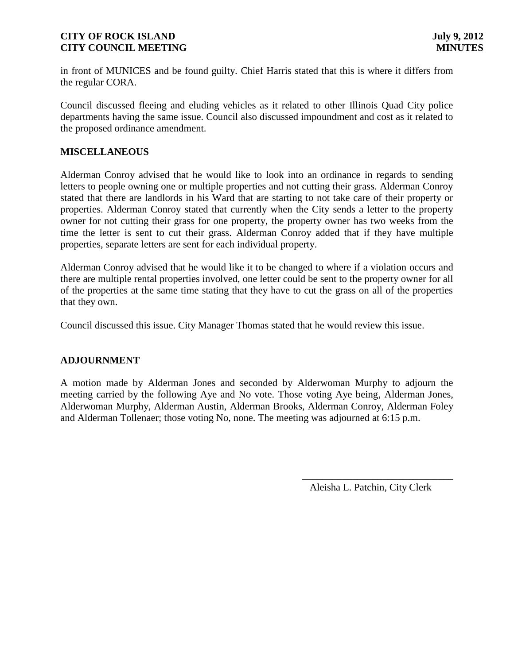in front of MUNICES and be found guilty. Chief Harris stated that this is where it differs from the regular CORA.

Council discussed fleeing and eluding vehicles as it related to other Illinois Quad City police departments having the same issue. Council also discussed impoundment and cost as it related to the proposed ordinance amendment.

# **MISCELLANEOUS**

Alderman Conroy advised that he would like to look into an ordinance in regards to sending letters to people owning one or multiple properties and not cutting their grass. Alderman Conroy stated that there are landlords in his Ward that are starting to not take care of their property or properties. Alderman Conroy stated that currently when the City sends a letter to the property owner for not cutting their grass for one property, the property owner has two weeks from the time the letter is sent to cut their grass. Alderman Conroy added that if they have multiple properties, separate letters are sent for each individual property.

Alderman Conroy advised that he would like it to be changed to where if a violation occurs and there are multiple rental properties involved, one letter could be sent to the property owner for all of the properties at the same time stating that they have to cut the grass on all of the properties that they own.

Council discussed this issue. City Manager Thomas stated that he would review this issue.

# **ADJOURNMENT**

A motion made by Alderman Jones and seconded by Alderwoman Murphy to adjourn the meeting carried by the following Aye and No vote. Those voting Aye being, Alderman Jones, Alderwoman Murphy, Alderman Austin, Alderman Brooks, Alderman Conroy, Alderman Foley and Alderman Tollenaer; those voting No, none. The meeting was adjourned at 6:15 p.m.

Aleisha L. Patchin, City Clerk

\_\_\_\_\_\_\_\_\_\_\_\_\_\_\_\_\_\_\_\_\_\_\_\_\_\_\_\_\_\_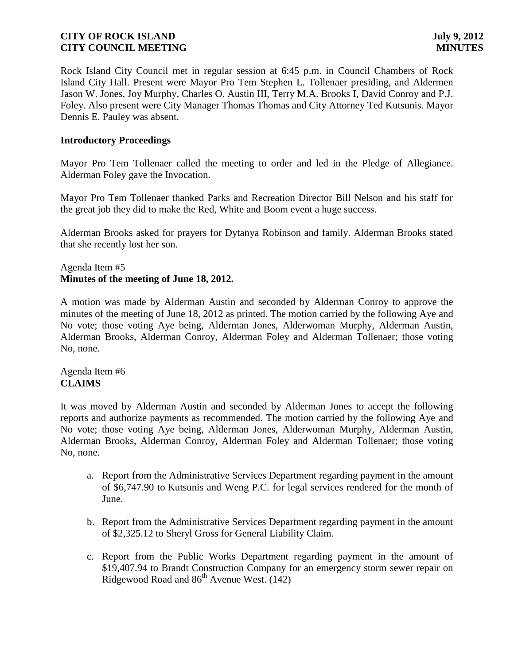Rock Island City Council met in regular session at 6:45 p.m. in Council Chambers of Rock Island City Hall. Present were Mayor Pro Tem Stephen L. Tollenaer presiding, and Aldermen Jason W. Jones, Joy Murphy, Charles O. Austin III, Terry M.A. Brooks I, David Conroy and P.J. Foley. Also present were City Manager Thomas Thomas and City Attorney Ted Kutsunis. Mayor Dennis E. Pauley was absent.

### **Introductory Proceedings**

Mayor Pro Tem Tollenaer called the meeting to order and led in the Pledge of Allegiance. Alderman Foley gave the Invocation.

Mayor Pro Tem Tollenaer thanked Parks and Recreation Director Bill Nelson and his staff for the great job they did to make the Red, White and Boom event a huge success.

Alderman Brooks asked for prayers for Dytanya Robinson and family. Alderman Brooks stated that she recently lost her son.

### Agenda Item #5 **Minutes of the meeting of June 18, 2012.**

A motion was made by Alderman Austin and seconded by Alderman Conroy to approve the minutes of the meeting of June 18, 2012 as printed. The motion carried by the following Aye and No vote; those voting Aye being, Alderman Jones, Alderwoman Murphy, Alderman Austin, Alderman Brooks, Alderman Conroy, Alderman Foley and Alderman Tollenaer; those voting No, none.

Agenda Item #6 **CLAIMS**

It was moved by Alderman Austin and seconded by Alderman Jones to accept the following reports and authorize payments as recommended. The motion carried by the following Aye and No vote; those voting Aye being, Alderman Jones, Alderwoman Murphy, Alderman Austin, Alderman Brooks, Alderman Conroy, Alderman Foley and Alderman Tollenaer; those voting No, none.

- a. Report from the Administrative Services Department regarding payment in the amount of \$6,747.90 to Kutsunis and Weng P.C. for legal services rendered for the month of June.
- b. Report from the Administrative Services Department regarding payment in the amount of \$2,325.12 to Sheryl Gross for General Liability Claim.
- c. Report from the Public Works Department regarding payment in the amount of \$19,407.94 to Brandt Construction Company for an emergency storm sewer repair on Ridgewood Road and  $86<sup>th</sup>$  Avenue West. (142)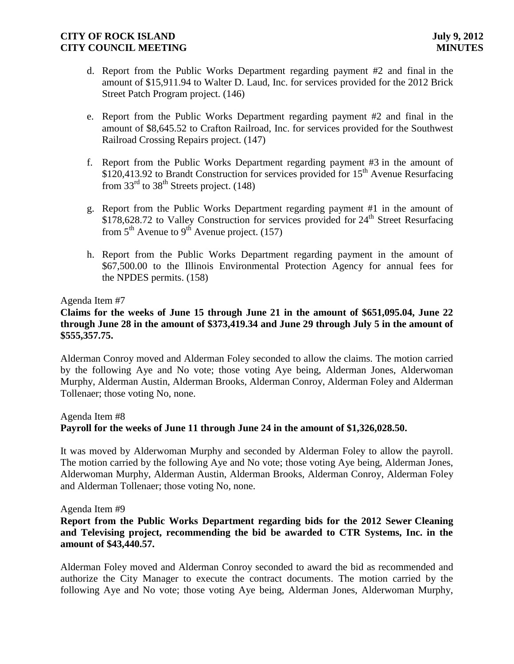- d. Report from the Public Works Department regarding payment #2 and final in the amount of \$15,911.94 to Walter D. Laud, Inc. for services provided for the 2012 Brick Street Patch Program project. (146)
- e. Report from the Public Works Department regarding payment #2 and final in the amount of \$8,645.52 to Crafton Railroad, Inc. for services provided for the Southwest Railroad Crossing Repairs project. (147)
- f. Report from the Public Works Department regarding payment #3 in the amount of  $$120,413.92$  to Brandt Construction for services provided for  $15<sup>th</sup>$  Avenue Resurfacing from  $33<sup>rd</sup>$  to  $38<sup>th</sup>$  Streets project. (148)
- g. Report from the Public Works Department regarding payment #1 in the amount of  $$178,628.72$  to Valley Construction for services provided for  $24<sup>th</sup>$  Street Resurfacing from  $5<sup>th</sup>$  Avenue to  $9<sup>th</sup>$  Avenue project. (157)
- h. Report from the Public Works Department regarding payment in the amount of \$67,500.00 to the Illinois Environmental Protection Agency for annual fees for the NPDES permits. (158)

#### Agenda Item #7

# **Claims for the weeks of June 15 through June 21 in the amount of \$651,095.04, June 22 through June 28 in the amount of \$373,419.34 and June 29 through July 5 in the amount of \$555,357.75.**

Alderman Conroy moved and Alderman Foley seconded to allow the claims. The motion carried by the following Aye and No vote; those voting Aye being, Alderman Jones, Alderwoman Murphy, Alderman Austin, Alderman Brooks, Alderman Conroy, Alderman Foley and Alderman Tollenaer; those voting No, none.

#### Agenda Item #8

### **Payroll for the weeks of June 11 through June 24 in the amount of \$1,326,028.50.**

It was moved by Alderwoman Murphy and seconded by Alderman Foley to allow the payroll. The motion carried by the following Aye and No vote; those voting Aye being, Alderman Jones, Alderwoman Murphy, Alderman Austin, Alderman Brooks, Alderman Conroy, Alderman Foley and Alderman Tollenaer; those voting No, none.

#### Agenda Item #9

### **Report from the Public Works Department regarding bids for the 2012 Sewer Cleaning and Televising project, recommending the bid be awarded to CTR Systems, Inc. in the amount of \$43,440.57.**

Alderman Foley moved and Alderman Conroy seconded to award the bid as recommended and authorize the City Manager to execute the contract documents. The motion carried by the following Aye and No vote; those voting Aye being, Alderman Jones, Alderwoman Murphy,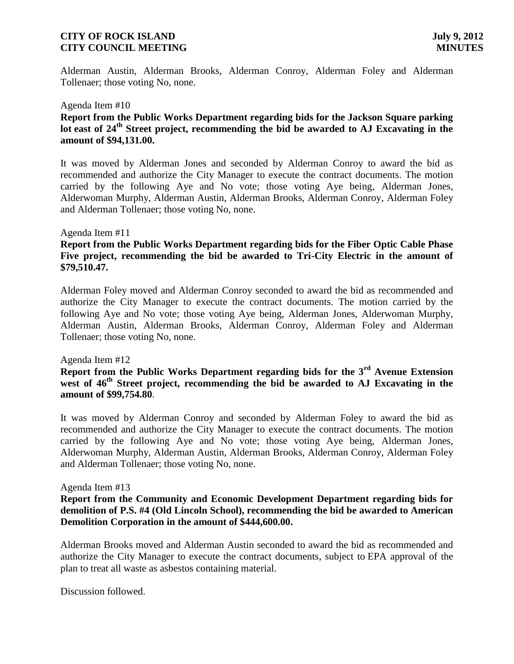Alderman Austin, Alderman Brooks, Alderman Conroy, Alderman Foley and Alderman Tollenaer; those voting No, none.

#### Agenda Item #10

# **Report from the Public Works Department regarding bids for the Jackson Square parking lot east of 24th Street project, recommending the bid be awarded to AJ Excavating in the amount of \$94,131.00.**

It was moved by Alderman Jones and seconded by Alderman Conroy to award the bid as recommended and authorize the City Manager to execute the contract documents. The motion carried by the following Aye and No vote; those voting Aye being, Alderman Jones, Alderwoman Murphy, Alderman Austin, Alderman Brooks, Alderman Conroy, Alderman Foley and Alderman Tollenaer; those voting No, none.

#### Agenda Item #11

# **Report from the Public Works Department regarding bids for the Fiber Optic Cable Phase Five project, recommending the bid be awarded to Tri-City Electric in the amount of \$79,510.47.**

Alderman Foley moved and Alderman Conroy seconded to award the bid as recommended and authorize the City Manager to execute the contract documents. The motion carried by the following Aye and No vote; those voting Aye being, Alderman Jones, Alderwoman Murphy, Alderman Austin, Alderman Brooks, Alderman Conroy, Alderman Foley and Alderman Tollenaer; those voting No, none.

#### Agenda Item #12

# **Report from the Public Works Department regarding bids for the 3rd Avenue Extension**  west of 46<sup>th</sup> Street project, recommending the bid be awarded to AJ Excavating in the **amount of \$99,754.80**.

It was moved by Alderman Conroy and seconded by Alderman Foley to award the bid as recommended and authorize the City Manager to execute the contract documents. The motion carried by the following Aye and No vote; those voting Aye being, Alderman Jones, Alderwoman Murphy, Alderman Austin, Alderman Brooks, Alderman Conroy, Alderman Foley and Alderman Tollenaer; those voting No, none.

#### Agenda Item #13

### **Report from the Community and Economic Development Department regarding bids for demolition of P.S. #4 (Old Lincoln School), recommending the bid be awarded to American Demolition Corporation in the amount of \$444,600.00.**

Alderman Brooks moved and Alderman Austin seconded to award the bid as recommended and authorize the City Manager to execute the contract documents, subject to EPA approval of the plan to treat all waste as asbestos containing material.

Discussion followed.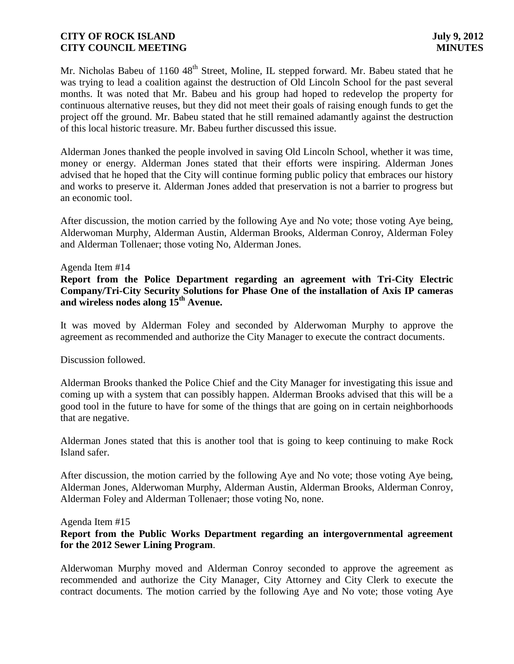Mr. Nicholas Babeu of 1160 48<sup>th</sup> Street, Moline, IL stepped forward. Mr. Babeu stated that he was trying to lead a coalition against the destruction of Old Lincoln School for the past several months. It was noted that Mr. Babeu and his group had hoped to redevelop the property for continuous alternative reuses, but they did not meet their goals of raising enough funds to get the project off the ground. Mr. Babeu stated that he still remained adamantly against the destruction of this local historic treasure. Mr. Babeu further discussed this issue.

Alderman Jones thanked the people involved in saving Old Lincoln School, whether it was time, money or energy. Alderman Jones stated that their efforts were inspiring. Alderman Jones advised that he hoped that the City will continue forming public policy that embraces our history and works to preserve it. Alderman Jones added that preservation is not a barrier to progress but an economic tool.

After discussion, the motion carried by the following Aye and No vote; those voting Aye being, Alderwoman Murphy, Alderman Austin, Alderman Brooks, Alderman Conroy, Alderman Foley and Alderman Tollenaer; those voting No, Alderman Jones.

#### Agenda Item #14

**Report from the Police Department regarding an agreement with Tri-City Electric Company/Tri-City Security Solutions for Phase One of the installation of Axis IP cameras and wireless nodes along 15th Avenue.**

It was moved by Alderman Foley and seconded by Alderwoman Murphy to approve the agreement as recommended and authorize the City Manager to execute the contract documents.

Discussion followed.

Alderman Brooks thanked the Police Chief and the City Manager for investigating this issue and coming up with a system that can possibly happen. Alderman Brooks advised that this will be a good tool in the future to have for some of the things that are going on in certain neighborhoods that are negative.

Alderman Jones stated that this is another tool that is going to keep continuing to make Rock Island safer.

After discussion, the motion carried by the following Aye and No vote; those voting Aye being, Alderman Jones, Alderwoman Murphy, Alderman Austin, Alderman Brooks, Alderman Conroy, Alderman Foley and Alderman Tollenaer; those voting No, none.

#### Agenda Item #15

# **Report from the Public Works Department regarding an intergovernmental agreement for the 2012 Sewer Lining Program**.

Alderwoman Murphy moved and Alderman Conroy seconded to approve the agreement as recommended and authorize the City Manager, City Attorney and City Clerk to execute the contract documents. The motion carried by the following Aye and No vote; those voting Aye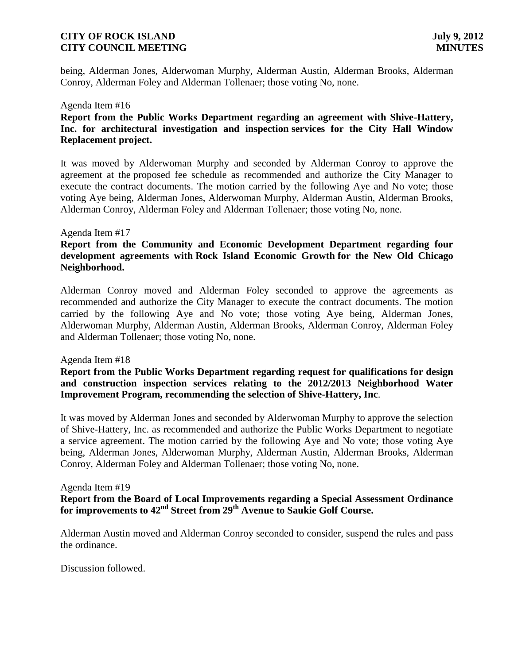being, Alderman Jones, Alderwoman Murphy, Alderman Austin, Alderman Brooks, Alderman Conroy, Alderman Foley and Alderman Tollenaer; those voting No, none.

#### Agenda Item #16

# **Report from the Public Works Department regarding an agreement with Shive-Hattery, Inc. for architectural investigation and inspection services for the City Hall Window Replacement project.**

It was moved by Alderwoman Murphy and seconded by Alderman Conroy to approve the agreement at the proposed fee schedule as recommended and authorize the City Manager to execute the contract documents. The motion carried by the following Aye and No vote; those voting Aye being, Alderman Jones, Alderwoman Murphy, Alderman Austin, Alderman Brooks, Alderman Conroy, Alderman Foley and Alderman Tollenaer; those voting No, none.

#### Agenda Item #17

# **Report from the Community and Economic Development Department regarding four development agreements with Rock Island Economic Growth for the New Old Chicago Neighborhood.**

Alderman Conroy moved and Alderman Foley seconded to approve the agreements as recommended and authorize the City Manager to execute the contract documents. The motion carried by the following Aye and No vote; those voting Aye being, Alderman Jones, Alderwoman Murphy, Alderman Austin, Alderman Brooks, Alderman Conroy, Alderman Foley and Alderman Tollenaer; those voting No, none.

#### Agenda Item #18

**Report from the Public Works Department regarding request for qualifications for design and construction inspection services relating to the 2012/2013 Neighborhood Water Improvement Program, recommending the selection of Shive-Hattery, Inc**.

It was moved by Alderman Jones and seconded by Alderwoman Murphy to approve the selection of Shive-Hattery, Inc. as recommended and authorize the Public Works Department to negotiate a service agreement. The motion carried by the following Aye and No vote; those voting Aye being, Alderman Jones, Alderwoman Murphy, Alderman Austin, Alderman Brooks, Alderman Conroy, Alderman Foley and Alderman Tollenaer; those voting No, none.

#### Agenda Item #19

**Report from the Board of Local Improvements regarding a Special Assessment Ordinance for improvements to 42nd Street from 29th Avenue to Saukie Golf Course.**

Alderman Austin moved and Alderman Conroy seconded to consider, suspend the rules and pass the ordinance.

Discussion followed.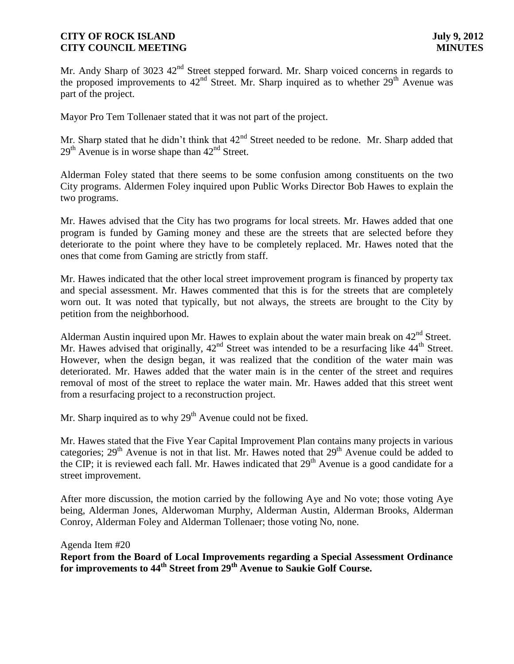Mr. Andy Sharp of 3023 42<sup>nd</sup> Street stepped forward. Mr. Sharp voiced concerns in regards to the proposed improvements to  $42<sup>nd</sup>$  Street. Mr. Sharp inquired as to whether  $29<sup>th</sup>$  Avenue was part of the project.

Mayor Pro Tem Tollenaer stated that it was not part of the project.

Mr. Sharp stated that he didn't think that  $42<sup>nd</sup>$  Street needed to be redone. Mr. Sharp added that  $29<sup>th</sup>$  Avenue is in worse shape than  $42<sup>nd</sup>$  Street.

Alderman Foley stated that there seems to be some confusion among constituents on the two City programs. Aldermen Foley inquired upon Public Works Director Bob Hawes to explain the two programs.

Mr. Hawes advised that the City has two programs for local streets. Mr. Hawes added that one program is funded by Gaming money and these are the streets that are selected before they deteriorate to the point where they have to be completely replaced. Mr. Hawes noted that the ones that come from Gaming are strictly from staff.

Mr. Hawes indicated that the other local street improvement program is financed by property tax and special assessment. Mr. Hawes commented that this is for the streets that are completely worn out. It was noted that typically, but not always, the streets are brought to the City by petition from the neighborhood.

Alderman Austin inquired upon Mr. Hawes to explain about the water main break on  $42<sup>nd</sup>$  Street. Mr. Hawes advised that originally,  $42<sup>nd</sup>$  Street was intended to be a resurfacing like  $44<sup>th</sup>$  Street. However, when the design began, it was realized that the condition of the water main was deteriorated. Mr. Hawes added that the water main is in the center of the street and requires removal of most of the street to replace the water main. Mr. Hawes added that this street went from a resurfacing project to a reconstruction project.

Mr. Sharp inquired as to why  $29<sup>th</sup>$  Avenue could not be fixed.

Mr. Hawes stated that the Five Year Capital Improvement Plan contains many projects in various categories;  $29<sup>th</sup>$  Avenue is not in that list. Mr. Hawes noted that  $29<sup>th</sup>$  Avenue could be added to the CIP; it is reviewed each fall. Mr. Hawes indicated that  $29<sup>th</sup>$  Avenue is a good candidate for a street improvement.

After more discussion, the motion carried by the following Aye and No vote; those voting Aye being, Alderman Jones, Alderwoman Murphy, Alderman Austin, Alderman Brooks, Alderman Conroy, Alderman Foley and Alderman Tollenaer; those voting No, none.

Agenda Item #20

**Report from the Board of Local Improvements regarding a Special Assessment Ordinance for improvements to 44th Street from 29th Avenue to Saukie Golf Course.**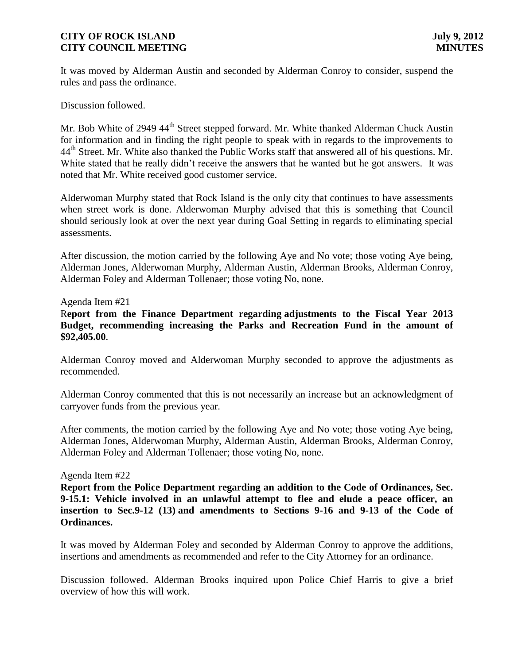It was moved by Alderman Austin and seconded by Alderman Conroy to consider, suspend the rules and pass the ordinance.

Discussion followed.

Mr. Bob White of 2949 44<sup>th</sup> Street stepped forward. Mr. White thanked Alderman Chuck Austin for information and in finding the right people to speak with in regards to the improvements to 44<sup>th</sup> Street. Mr. White also thanked the Public Works staff that answered all of his questions. Mr. White stated that he really didn't receive the answers that he wanted but he got answers. It was noted that Mr. White received good customer service.

Alderwoman Murphy stated that Rock Island is the only city that continues to have assessments when street work is done. Alderwoman Murphy advised that this is something that Council should seriously look at over the next year during Goal Setting in regards to eliminating special assessments.

After discussion, the motion carried by the following Aye and No vote; those voting Aye being, Alderman Jones, Alderwoman Murphy, Alderman Austin, Alderman Brooks, Alderman Conroy, Alderman Foley and Alderman Tollenaer; those voting No, none.

#### Agenda Item #21

# R**eport from the Finance Department regarding adjustments to the Fiscal Year 2013 Budget, recommending increasing the Parks and Recreation Fund in the amount of \$92,405.00**.

Alderman Conroy moved and Alderwoman Murphy seconded to approve the adjustments as recommended.

Alderman Conroy commented that this is not necessarily an increase but an acknowledgment of carryover funds from the previous year.

After comments, the motion carried by the following Aye and No vote; those voting Aye being, Alderman Jones, Alderwoman Murphy, Alderman Austin, Alderman Brooks, Alderman Conroy, Alderman Foley and Alderman Tollenaer; those voting No, none.

#### Agenda Item #22

**Report from the Police Department regarding an addition to the Code of Ordinances, Sec. 9-15.1: Vehicle involved in an unlawful attempt to flee and elude a peace officer, an insertion to Sec.9-12 (13) and amendments to Sections 9-16 and 9-13 of the Code of Ordinances.**

It was moved by Alderman Foley and seconded by Alderman Conroy to approve the additions, insertions and amendments as recommended and refer to the City Attorney for an ordinance.

Discussion followed. Alderman Brooks inquired upon Police Chief Harris to give a brief overview of how this will work.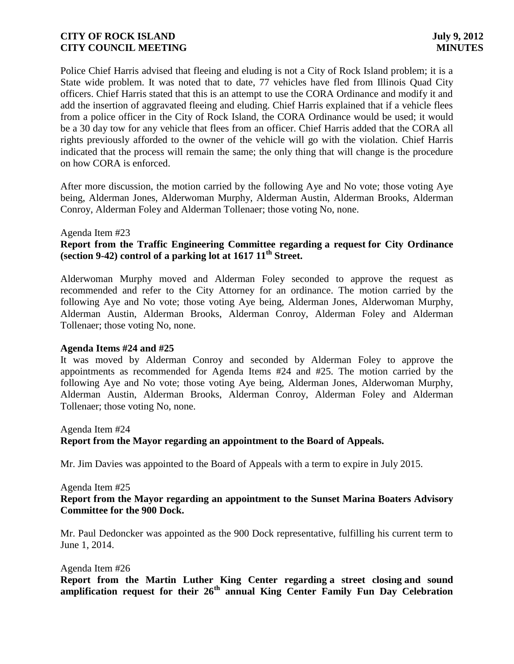Police Chief Harris advised that fleeing and eluding is not a City of Rock Island problem; it is a State wide problem. It was noted that to date, 77 vehicles have fled from Illinois Quad City officers. Chief Harris stated that this is an attempt to use the CORA Ordinance and modify it and add the insertion of aggravated fleeing and eluding. Chief Harris explained that if a vehicle flees from a police officer in the City of Rock Island, the CORA Ordinance would be used; it would be a 30 day tow for any vehicle that flees from an officer. Chief Harris added that the CORA all rights previously afforded to the owner of the vehicle will go with the violation. Chief Harris indicated that the process will remain the same; the only thing that will change is the procedure on how CORA is enforced.

After more discussion, the motion carried by the following Aye and No vote; those voting Aye being, Alderman Jones, Alderwoman Murphy, Alderman Austin, Alderman Brooks, Alderman Conroy, Alderman Foley and Alderman Tollenaer; those voting No, none.

#### Agenda Item #23

# **Report from the Traffic Engineering Committee regarding a request for City Ordinance (section 9-42) control of a parking lot at 1617 11th Street.**

Alderwoman Murphy moved and Alderman Foley seconded to approve the request as recommended and refer to the City Attorney for an ordinance. The motion carried by the following Aye and No vote; those voting Aye being, Alderman Jones, Alderwoman Murphy, Alderman Austin, Alderman Brooks, Alderman Conroy, Alderman Foley and Alderman Tollenaer; those voting No, none.

### **Agenda Items #24 and #25**

It was moved by Alderman Conroy and seconded by Alderman Foley to approve the appointments as recommended for Agenda Items #24 and #25. The motion carried by the following Aye and No vote; those voting Aye being, Alderman Jones, Alderwoman Murphy, Alderman Austin, Alderman Brooks, Alderman Conroy, Alderman Foley and Alderman Tollenaer; those voting No, none.

Agenda Item #24 **Report from the Mayor regarding an appointment to the Board of Appeals.**

Mr. Jim Davies was appointed to the Board of Appeals with a term to expire in July 2015.

Agenda Item #25

### **Report from the Mayor regarding an appointment to the Sunset Marina Boaters Advisory Committee for the 900 Dock.**

Mr. Paul Dedoncker was appointed as the 900 Dock representative, fulfilling his current term to June 1, 2014.

#### Agenda Item #26

 **Report from the Martin Luther King Center regarding a street closing and sound amplification request for their 26th annual King Center Family Fun Day Celebration**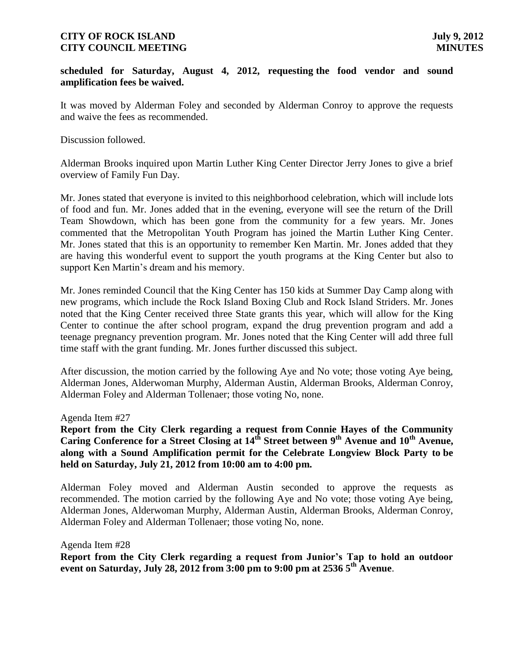#### **scheduled for Saturday, August 4, 2012, requesting the food vendor and sound amplification fees be waived.**

It was moved by Alderman Foley and seconded by Alderman Conroy to approve the requests and waive the fees as recommended.

Discussion followed.

Alderman Brooks inquired upon Martin Luther King Center Director Jerry Jones to give a brief overview of Family Fun Day.

Mr. Jones stated that everyone is invited to this neighborhood celebration, which will include lots of food and fun. Mr. Jones added that in the evening, everyone will see the return of the Drill Team Showdown, which has been gone from the community for a few years. Mr. Jones commented that the Metropolitan Youth Program has joined the Martin Luther King Center. Mr. Jones stated that this is an opportunity to remember Ken Martin. Mr. Jones added that they are having this wonderful event to support the youth programs at the King Center but also to support Ken Martin's dream and his memory.

Mr. Jones reminded Council that the King Center has 150 kids at Summer Day Camp along with new programs, which include the Rock Island Boxing Club and Rock Island Striders. Mr. Jones noted that the King Center received three State grants this year, which will allow for the King Center to continue the after school program, expand the drug prevention program and add a teenage pregnancy prevention program. Mr. Jones noted that the King Center will add three full time staff with the grant funding. Mr. Jones further discussed this subject.

After discussion, the motion carried by the following Aye and No vote; those voting Aye being, Alderman Jones, Alderwoman Murphy, Alderman Austin, Alderman Brooks, Alderman Conroy, Alderman Foley and Alderman Tollenaer; those voting No, none.

#### Agenda Item #27

**Report from the City Clerk regarding a request from Connie Hayes of the Community Caring Conference for a Street Closing at 14th Street between 9th Avenue and 10th Avenue, along with a Sound Amplification permit for the Celebrate Longview Block Party to be held on Saturday, July 21, 2012 from 10:00 am to 4:00 pm.**

Alderman Foley moved and Alderman Austin seconded to approve the requests as recommended. The motion carried by the following Aye and No vote; those voting Aye being, Alderman Jones, Alderwoman Murphy, Alderman Austin, Alderman Brooks, Alderman Conroy, Alderman Foley and Alderman Tollenaer; those voting No, none.

Agenda Item #28

 **Report from the City Clerk regarding a request from Junior's Tap to hold an outdoor event on Saturday, July 28, 2012 from 3:00 pm to 9:00 pm at 2536 5th Avenue**.